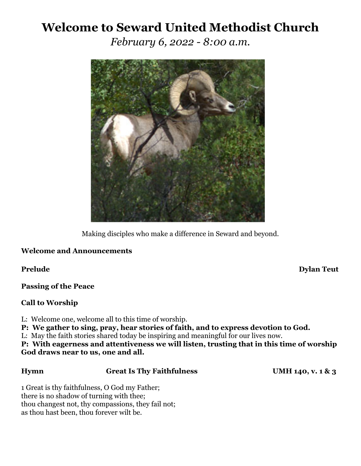# **Welcome to Seward United Methodist Church**

*February 6, 2022 - 8:00 a.m.*



Making disciples who make a difference in Seward and beyond.

### **Welcome and Announcements**

**Passing of the Peace**

### **Call to Worship**

L: Welcome one, welcome all to this time of worship.

**P: We gather to sing, pray, hear stories of faith, and to express devotion to God.**

L: May the faith stories shared today be inspiring and meaningful for our lives now.

**P: With eagerness and attentiveness we will listen, trusting that in this time of worship God draws near to us, one and all.** 

Hymn **Great Is Thy Faithfulness** UMH 140, v. 1 & 3

1 Great is thy faithfulness, O God my Father; there is no shadow of turning with thee; thou changest not, thy compassions, they fail not; as thou hast been, thou forever wilt be.

**Prelude** Dylan Teut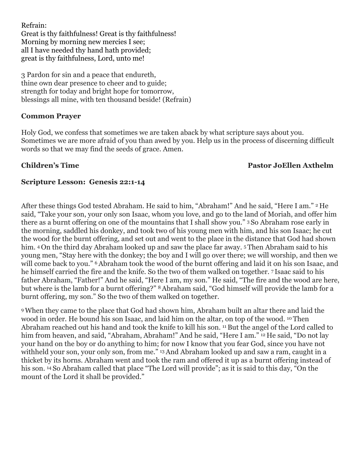Refrain: Great is thy faithfulness! Great is thy faithfulness! Morning by morning new mercies I see; all I have needed thy hand hath provided; great is thy faithfulness, Lord, unto me!

3 Pardon for sin and a peace that endureth, thine own dear presence to cheer and to guide; strength for today and bright hope for tomorrow, blessings all mine, with ten thousand beside! (Refrain)

### **Common Prayer**

Holy God, we confess that sometimes we are taken aback by what scripture says about you. Sometimes we are more afraid of you than awed by you. Help us in the process of discerning difficult words so that we may find the seeds of grace. Amen.

### **Children's Time Pastor JoEllen Axthelm**

### **Scripture Lesson: Genesis 22:1-14**

After these things God tested Abraham. He said to him, "Abraham!" And he said, "Here I am." <sup>2</sup> He said, "Take your son, your only son Isaac, whom you love, and go to the land of Moriah, and offer him there as a burnt offering on one of the mountains that I shall show you." <sup>3</sup> So Abraham rose early in the morning, saddled his donkey, and took two of his young men with him, and his son Isaac; he cut the wood for the burnt offering, and set out and went to the place in the distance that God had shown him. 4 On the third day Abraham looked up and saw the place far away. 5 Then Abraham said to his young men, "Stay here with the donkey; the boy and I will go over there; we will worship, and then we will come back to you." <sup>6</sup> Abraham took the wood of the burnt offering and laid it on his son Isaac, and he himself carried the fire and the knife. So the two of them walked on together. <sup>7</sup> Isaac said to his father Abraham, "Father!" And he said, "Here I am, my son." He said, "The fire and the wood are here, but where is the lamb for a burnt offering?" 8Abraham said, "God himself will provide the lamb for a burnt offering, my son." So the two of them walked on together.

9When they came to the place that God had shown him, Abraham built an altar there and laid the wood in order. He bound his son Isaac, and laid him on the altar, on top of the wood. <sup>10</sup> Then Abraham reached out his hand and took the knife to kill his son. <sup>11</sup> But the angel of the Lord called to him from heaven, and said, "Abraham, Abraham!" And he said, "Here I am." <sup>12</sup> He said, "Do not lay your hand on the boy or do anything to him; for now I know that you fear God, since you have not withheld your son, your only son, from me." 13 And Abraham looked up and saw a ram, caught in a thicket by its horns. Abraham went and took the ram and offered it up as a burnt offering instead of his son. <sup>14</sup> So Abraham called that place "The Lord will provide"; as it is said to this day, "On the mount of the Lord it shall be provided."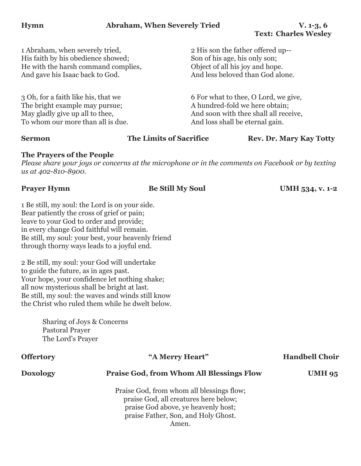1 Abraham, when severely tried, 2 His son the father offered up-- His faith by his obedience showed; Son of his age, his only son; He with the harsh command complies, Object of all his joy and hope. And gave his Isaac back to God. And less beloved than God alone.

3 Oh, for a faith like his, that we 6 For what to thee, O Lord, we give, The bright example may pursue; A hundred-fold we here obtain;<br>May gladly give up all to thee, And soon with thee shall all rece To whom our more than all is due. And loss shall be eternal gain.

**Sermon The Limits of Sacrifice Rev. Dr. Mary Kay Totty** 

And soon with thee shall all receive.

### **The Prayers of the People**

*Please share your joys or concerns at the microphone or in the comments on Facebook or by texting us at 402-810-8900.*

**Prayer Hymn Be Still My Soul UMH 534, v. 1-2** 

1 Be still, my soul: the Lord is on your side. Bear patiently the cross of grief or pain; leave to your God to order and provide; in every change God faithful will remain. Be still, my soul: your best, your heavenly friend through thorny ways leads to a joyful end.

2 Be still, my soul: your God will undertake to guide the future, as in ages past. Your hope, your confidence let nothing shake; all now mysterious shall be bright at last. Be still, my soul: the waves and winds still know the Christ who ruled them while he dwelt below.

> Sharing of Joys & Concerns Pastoral Prayer The Lord's Prayer

| <b>Offertory</b> | "A Merry Heart"                                                                                                           | <b>Handbell Choir</b> |
|------------------|---------------------------------------------------------------------------------------------------------------------------|-----------------------|
| <b>Doxology</b>  | <b>Praise God, from Whom All Blessings Flow</b>                                                                           | <b>UMH 95</b>         |
|                  | Praise God, from whom all blessings flow;<br>praise God, all creatures here below;<br>praise God above, ye heavenly host; |                       |
|                  | praise Father, Son, and Holy Ghost.                                                                                       |                       |
|                  | Amen.                                                                                                                     |                       |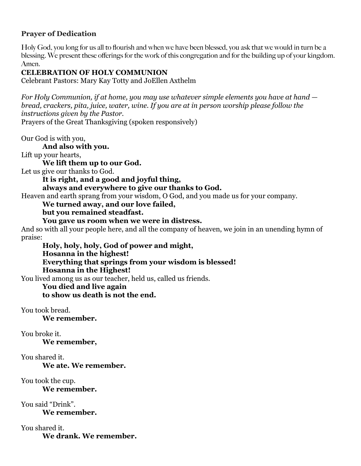### **Prayer of Dedication**

Holy God, you long for us all to flourish and when we have been blessed, you ask that we would in turn be a blessing. We present these offerings for the work of this congregation and for the building up of your kingdom. Amen.

### **CELEBRATION OF HOLY COMMUNION**

Celebrant Pastors: Mary Kay Totty and JoEllen Axthelm

*For Holy Communion, if at home, you may use whatever simple elements you have at hand bread, crackers, pita, juice, water, wine. If you are at in person worship please follow the instructions given by the Pastor.*  Prayers of the Great Thanksgiving (spoken responsively)

Our God is with you,

**And also with you.**

Lift up your hearts,

**We lift them up to our God.**

Let us give our thanks to God.

**It is right, and a good and joyful thing,** 

**always and everywhere to give our thanks to God.**

Heaven and earth sprang from your wisdom, O God, and you made us for your company.

**We turned away, and our love failed,**

**but you remained steadfast.**

### **You gave us room when we were in distress.**

And so with all your people here, and all the company of heaven, we join in an unending hymn of praise:

**Holy, holy, holy, God of power and might, Hosanna in the highest! Everything that springs from your wisdom is blessed! Hosanna in the Highest!**

You lived among us as our teacher, held us, called us friends.

## **You died and live again**

**to show us death is not the end.** 

You took bread.

**We remember.** 

You broke it.

**We remember,** 

You shared it. **We ate. We remember.** 

You took the cup. **We remember.**

You said "Drink". **We remember.** 

You shared it. **We drank. We remember.**